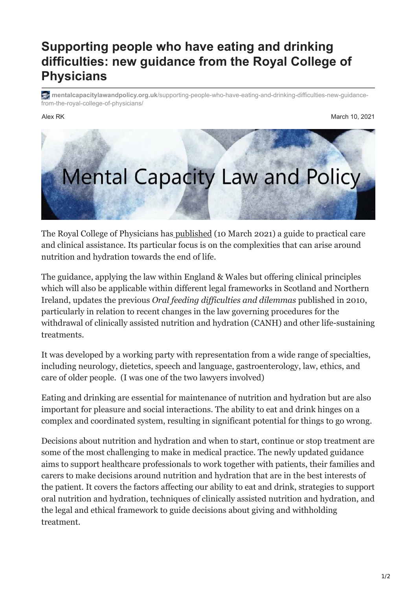## **Supporting people who have eating and drinking difficulties: new guidance from the Royal College of Physicians**

**mentalcapacitylawandpolicy.org.uk**[/supporting-people-who-have-eating-and-drinking-difficulties-new-guidance](https://www.mentalcapacitylawandpolicy.org.uk/supporting-people-who-have-eating-and-drinking-difficulties-new-guidance-from-the-royal-college-of-physicians/)from-the-royal-college-of-physicians/

Alex RK March 10, 2021



The Royal College of Physicians has [published](https://www.rcplondon.ac.uk/projects/outputs/supporting-people-who-have-eating-and-drinking-difficulties) (10 March 2021) a guide to practical care and clinical assistance. Its particular focus is on the complexities that can arise around nutrition and hydration towards the end of life.

The guidance, applying the law within England & Wales but offering clinical principles which will also be applicable within different legal frameworks in Scotland and Northern Ireland, updates the previous *Oral feeding difficulties and dilemmas* published in 2010, particularly in relation to recent changes in the law governing procedures for the withdrawal of clinically assisted nutrition and hydration (CANH) and other life-sustaining treatments.

It was developed by a working party with representation from a wide range of specialties, including neurology, dietetics, speech and language, gastroenterology, law, ethics, and care of older people. (I was one of the two lawyers involved)

Eating and drinking are essential for maintenance of nutrition and hydration but are also important for pleasure and social interactions. The ability to eat and drink hinges on a complex and coordinated system, resulting in significant potential for things to go wrong.

Decisions about nutrition and hydration and when to start, continue or stop treatment are some of the most challenging to make in medical practice. The newly updated guidance aims to support healthcare professionals to work together with patients, their families and carers to make decisions around nutrition and hydration that are in the best interests of the patient. It covers the factors affecting our ability to eat and drink, strategies to support oral nutrition and hydration, techniques of clinically assisted nutrition and hydration, and the legal and ethical framework to guide decisions about giving and withholding treatment.